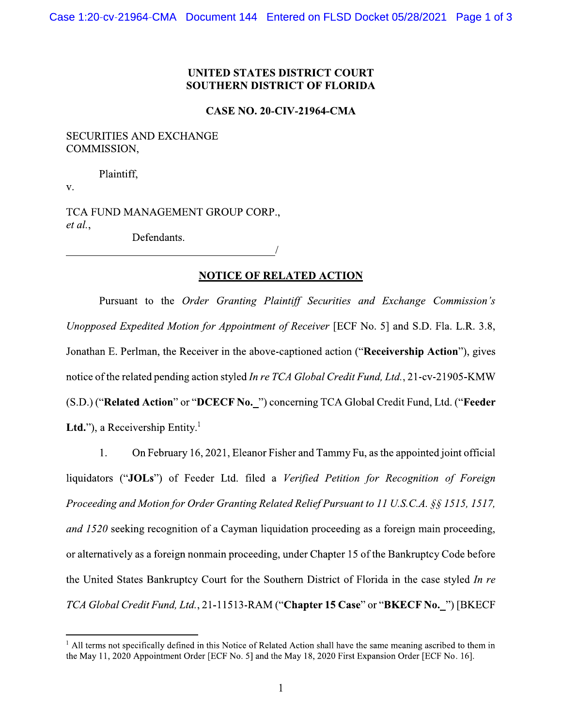### **UNITED STATES DISTRICT COURT SOUTHERN DISTRICT OF FLORIDA**

#### **CASE NO. 20-CIV-21964-CMA**

#### **SECURITIES AND EXCHANGE** COMMISSION,

Plaintiff,

 $V_{\star}$ 

TCA FUND MANAGEMENT GROUP CORP.,  $et al.$ 

Defendants.

## **NOTICE OF RELATED ACTION**

Pursuant to the Order Granting Plaintiff Securities and Exchange Commission's Unopposed Expedited Motion for Appointment of Receiver [ECF No. 5] and S.D. Fla. L.R. 3.8, Jonathan E. Perlman, the Receiver in the above-captioned action ("Receivership Action"), gives notice of the related pending action styled In re TCA Global Credit Fund, Ltd., 21-cv-21905-KMW (S.D.) ("Related Action" or "DCECF No. ") concerning TCA Global Credit Fund, Ltd. ("Feeder **Ltd.**"), a Receivership Entity.<sup>1</sup>

1. On February 16, 2021, Eleanor Fisher and Tammy Fu, as the appointed joint official liquidators ("JOLs") of Feeder Ltd. filed a Verified Petition for Recognition of Foreign Proceeding and Motion for Order Granting Related Relief Pursuant to 11 U.S.C.A. §§ 1515, 1517, and 1520 seeking recognition of a Cayman liquidation proceeding as a foreign main proceeding, or alternatively as a foreign nonmain proceeding, under Chapter 15 of the Bankruptcy Code before the United States Bankruptcy Court for the Southern District of Florida in the case styled In re TCA Global Credit Fund, Ltd., 21-11513-RAM ("Chapter 15 Case" or "BKECF No. ") [BKECF

 $\frac{1}{2}$  All terms not specifically defined in this Notice of Related Action shall have the same meaning ascribed to them in the May 11, 2020 Appointment Order [ECF No. 5] and the May 18, 2020 First Expansion Order [ECF No. 16].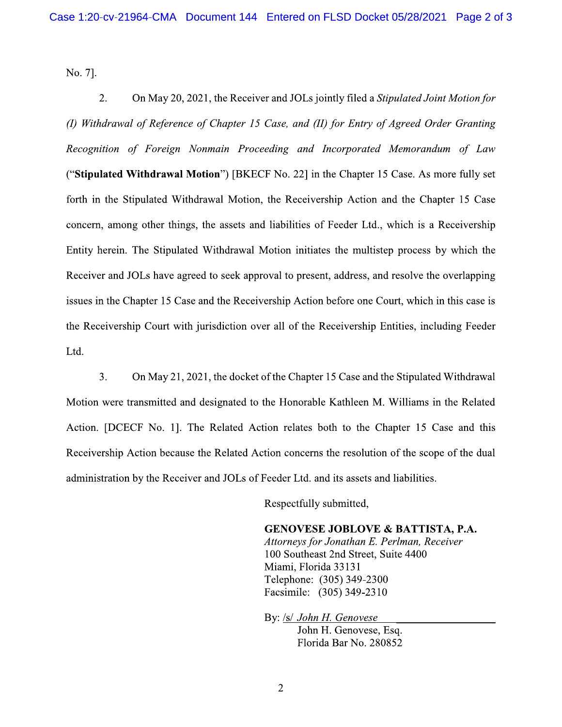No. 7].

 $2.$ On May 20, 2021, the Receiver and JOLs jointly filed a Stipulated Joint Motion for (I) Withdrawal of Reference of Chapter 15 Case, and (II) for Entry of Agreed Order Granting Recognition of Foreign Nonmain Proceeding and Incorporated Memorandum of Law ("Stipulated Withdrawal Motion") [BKECF No. 22] in the Chapter 15 Case. As more fully set forth in the Stipulated Withdrawal Motion, the Receivership Action and the Chapter 15 Case concern, among other things, the assets and liabilities of Feeder Ltd., which is a Receivership Entity herein. The Stipulated Withdrawal Motion initiates the multistep process by which the Receiver and JOLs have agreed to seek approval to present, address, and resolve the overlapping issues in the Chapter 15 Case and the Receivership Action before one Court, which in this case is the Receivership Court with jurisdiction over all of the Receivership Entities, including Feeder Ltd.

3. On May 21, 2021, the docket of the Chapter 15 Case and the Stipulated Withdrawal Motion were transmitted and designated to the Honorable Kathleen M. Williams in the Related Action. [DCECF No. 1]. The Related Action relates both to the Chapter 15 Case and this Receivership Action because the Related Action concerns the resolution of the scope of the dual administration by the Receiver and JOLs of Feeder Ltd. and its assets and liabilities.

Respectfully submitted,

**GENOVESE JOBLOVE & BATTISTA, P.A.** 

Attorneys for Jonathan E. Perlman, Receiver 100 Southeast 2nd Street, Suite 4400 Miami, Florida 33131 Telephone: (305) 349-2300 Facsimile: (305) 349-2310

By: /s/ John H. Genovese John H. Genovese, Esq. Florida Bar No. 280852

 $\overline{2}$